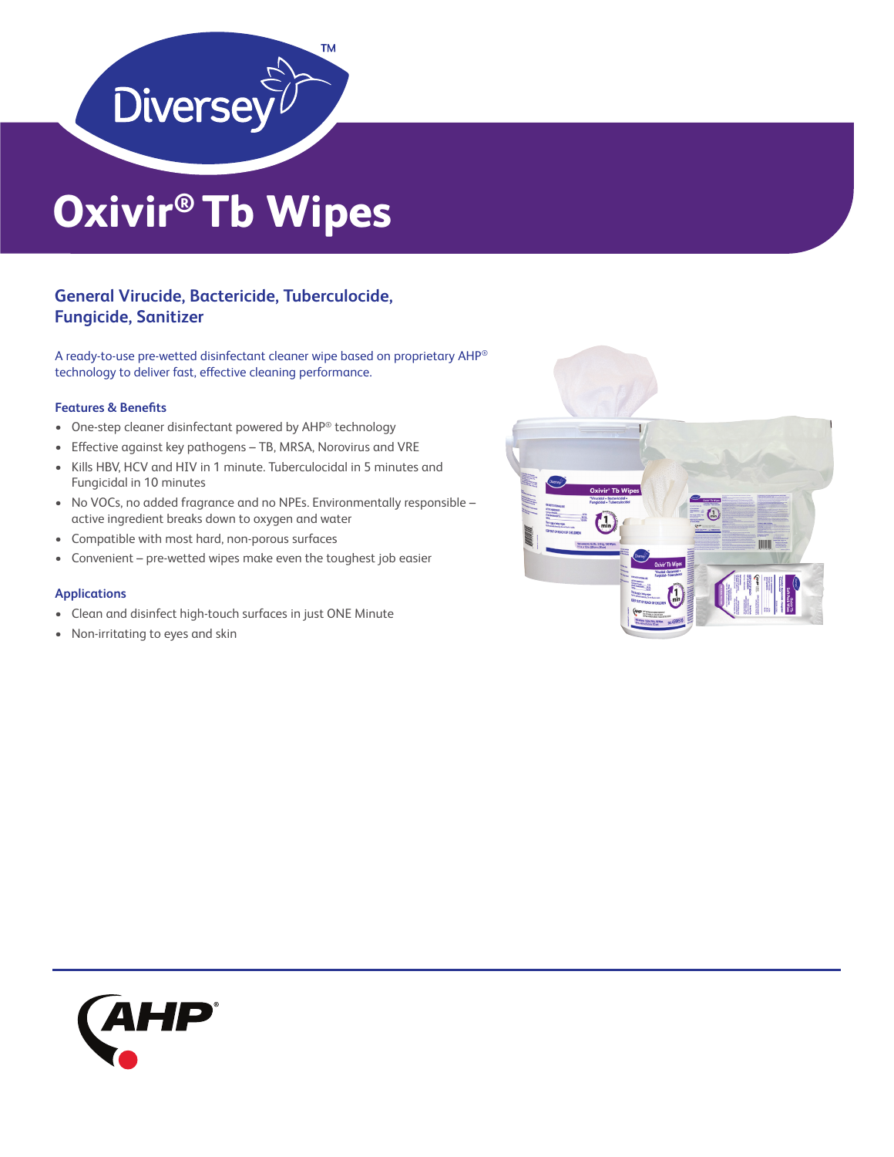

# **Oxivir® Tb Wipes**

## **General Virucide, Bactericide, Tuberculocide, Fungicide, Sanitizer**

A ready-to-use pre-wetted disinfectant cleaner wipe based on proprietary AHP® technology to deliver fast, effective cleaning performance.

### **Features & Benefits**

- One-step cleaner disinfectant powered by AHP® technology
- Effective against key pathogens TB, MRSA, Norovirus and VRE
- Kills HBV, HCV and HIV in 1 minute. Tuberculocidal in 5 minutes and Fungicidal in 10 minutes
- No VOCs, no added fragrance and no NPEs. Environmentally responsible active ingredient breaks down to oxygen and water
- Compatible with most hard, non-porous surfaces
- Convenient pre-wetted wipes make even the toughest job easier

### **Applications**

- Clean and disinfect high-touch surfaces in just ONE Minute
- Non-irritating to eyes and skin